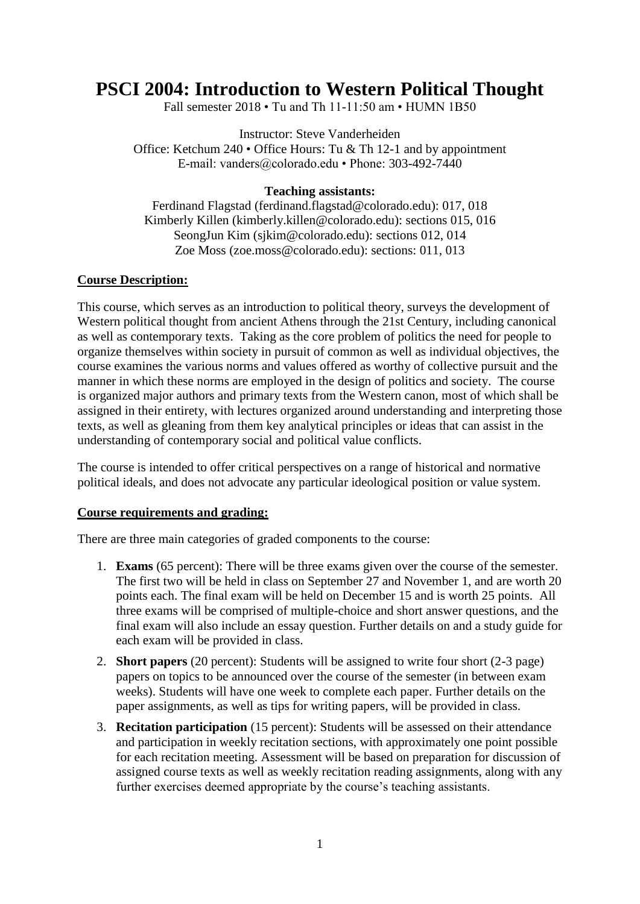# **PSCI 2004: Introduction to Western Political Thought**

Fall semester 2018 • Tu and Th 11-11:50 am • HUMN 1B50

Instructor: Steve Vanderheiden Office: Ketchum 240 • Office Hours: Tu & Th 12-1 and by appointment E-mail: vanders@colorado.edu • Phone: 303-492-7440

#### **Teaching assistants:**

Ferdinand Flagstad [\(ferdinand.flagstad@colorado.edu\)](mailto:ferdinand.flagstad@colorado.edu): 017, 018 Kimberly Killen [\(kimberly.killen@colorado.edu\)](mailto:kimberly.killen@colorado.edu): sections 015, 016 SeongJun Kim [\(sjkim@colorado.edu\)](mailto:sjkim@colorado.edu): sections 012, 014 Zoe Moss [\(zoe.moss@colorado.edu\)](mailto:zoe.moss@colorado.edu): sections: 011, 013

### **Course Description:**

This course, which serves as an introduction to political theory, surveys the development of Western political thought from ancient Athens through the 21st Century, including canonical as well as contemporary texts. Taking as the core problem of politics the need for people to organize themselves within society in pursuit of common as well as individual objectives, the course examines the various norms and values offered as worthy of collective pursuit and the manner in which these norms are employed in the design of politics and society. The course is organized major authors and primary texts from the Western canon, most of which shall be assigned in their entirety, with lectures organized around understanding and interpreting those texts, as well as gleaning from them key analytical principles or ideas that can assist in the understanding of contemporary social and political value conflicts.

The course is intended to offer critical perspectives on a range of historical and normative political ideals, and does not advocate any particular ideological position or value system.

#### **Course requirements and grading:**

There are three main categories of graded components to the course:

- 1. **Exams** (65 percent): There will be three exams given over the course of the semester. The first two will be held in class on September 27 and November 1, and are worth 20 points each. The final exam will be held on December 15 and is worth 25 points. All three exams will be comprised of multiple-choice and short answer questions, and the final exam will also include an essay question. Further details on and a study guide for each exam will be provided in class.
- 2. **Short papers** (20 percent): Students will be assigned to write four short (2-3 page) papers on topics to be announced over the course of the semester (in between exam weeks). Students will have one week to complete each paper. Further details on the paper assignments, as well as tips for writing papers, will be provided in class.
- 3. **Recitation participation** (15 percent): Students will be assessed on their attendance and participation in weekly recitation sections, with approximately one point possible for each recitation meeting. Assessment will be based on preparation for discussion of assigned course texts as well as weekly recitation reading assignments, along with any further exercises deemed appropriate by the course's teaching assistants.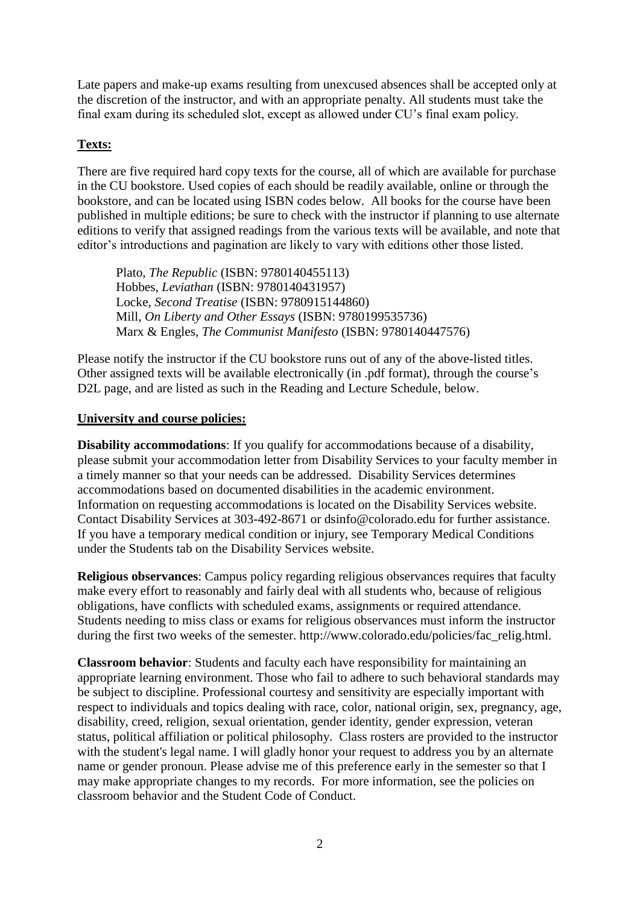Late papers and make-up exams resulting from unexcused absences shall be accepted only at the discretion of the instructor, and with an appropriate penalty. All students must take the final exam during its scheduled slot, except as allowed under CU's final exam policy.

## **Texts:**

There are five required hard copy texts for the course, all of which are available for purchase in the CU bookstore. Used copies of each should be readily available, online or through the bookstore, and can be located using ISBN codes below. All books for the course have been published in multiple editions; be sure to check with the instructor if planning to use alternate editions to verify that assigned readings from the various texts will be available, and note that editor's introductions and pagination are likely to vary with editions other those listed.

Plato, *The Republic* (ISBN: 9780140455113) Hobbes, *Leviathan* (ISBN: 9780140431957) Locke, *Second Treatise* (ISBN: 9780915144860) Mill, *On Liberty and Other Essays* (ISBN: 9780199535736) Marx & Engles, *The Communist Manifesto* (ISBN: 9780140447576)

Please notify the instructor if the CU bookstore runs out of any of the above-listed titles. Other assigned texts will be available electronically (in .pdf format), through the course's D2L page, and are listed as such in the Reading and Lecture Schedule, below.

### **University and course policies:**

**Disability accommodations**: If you qualify for accommodations because of a disability, please submit your accommodation letter from Disability Services to your faculty member in a timely manner so that your needs can be addressed. Disability Services determines accommodations based on documented disabilities in the academic environment. Information on requesting accommodations is located on the Disability Services website. Contact Disability Services at 303-492-8671 or dsinfo@colorado.edu for further assistance. If you have a temporary medical condition or injury, see Temporary Medical Conditions under the Students tab on the Disability Services website.

**Religious observances**: Campus policy regarding religious observances requires that faculty make every effort to reasonably and fairly deal with all students who, because of religious obligations, have conflicts with scheduled exams, assignments or required attendance. Students needing to miss class or exams for religious observances must inform the instructor during the first two weeks of the semester. http://www.colorado.edu/policies/fac\_relig.html.

**Classroom behavior**: Students and faculty each have responsibility for maintaining an appropriate learning environment. Those who fail to adhere to such behavioral standards may be subject to discipline. Professional courtesy and sensitivity are especially important with respect to individuals and topics dealing with race, color, national origin, sex, pregnancy, age, disability, creed, religion, sexual orientation, gender identity, gender expression, veteran status, political affiliation or political philosophy. Class rosters are provided to the instructor with the student's legal name. I will gladly honor your request to address you by an alternate name or gender pronoun. Please advise me of this preference early in the semester so that I may make appropriate changes to my records. For more information, see the policies on classroom behavior and the Student Code of Conduct.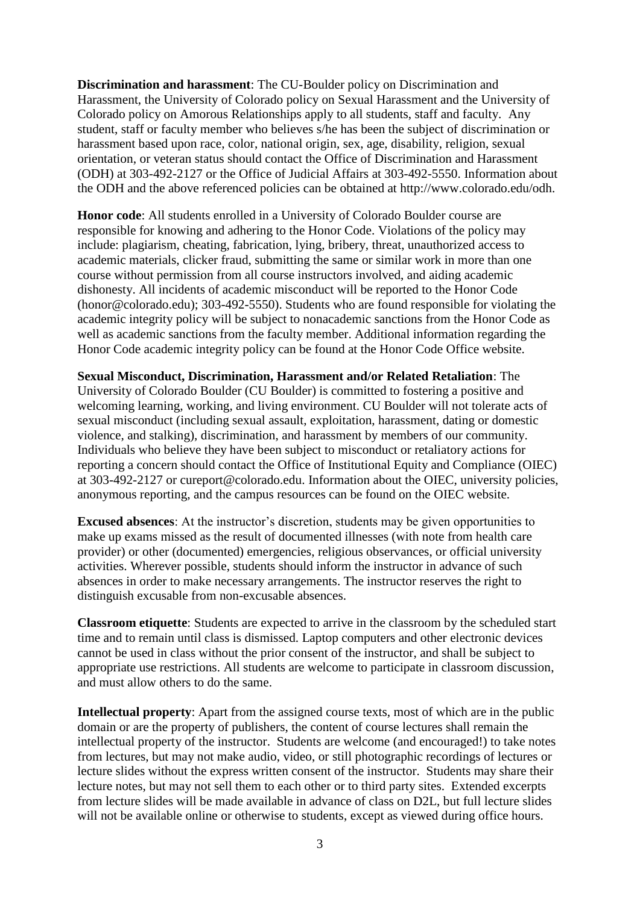**Discrimination and harassment**: The CU-Boulder policy on Discrimination and Harassment, the University of Colorado policy on Sexual Harassment and the University of Colorado policy on Amorous Relationships apply to all students, staff and faculty. Any student, staff or faculty member who believes s/he has been the subject of discrimination or harassment based upon race, color, national origin, sex, age, disability, religion, sexual orientation, or veteran status should contact the Office of Discrimination and Harassment (ODH) at 303-492-2127 or the Office of Judicial Affairs at 303-492-5550. Information about the ODH and the above referenced policies can be obtained at http://www.colorado.edu/odh.

**Honor code**: All students enrolled in a University of Colorado Boulder course are responsible for knowing and adhering to the Honor Code. Violations of the policy may include: plagiarism, cheating, fabrication, lying, bribery, threat, unauthorized access to academic materials, clicker fraud, submitting the same or similar work in more than one course without permission from all course instructors involved, and aiding academic dishonesty. All incidents of academic misconduct will be reported to the Honor Code (honor@colorado.edu); 303-492-5550). Students who are found responsible for violating the academic integrity policy will be subject to nonacademic sanctions from the Honor Code as well as academic sanctions from the faculty member. Additional information regarding the Honor Code academic integrity policy can be found at the Honor Code Office website.

**Sexual Misconduct, Discrimination, Harassment and/or Related Retaliation**: The University of Colorado Boulder (CU Boulder) is committed to fostering a positive and welcoming learning, working, and living environment. CU Boulder will not tolerate acts of sexual misconduct (including sexual assault, exploitation, harassment, dating or domestic violence, and stalking), discrimination, and harassment by members of our community. Individuals who believe they have been subject to misconduct or retaliatory actions for reporting a concern should contact the Office of Institutional Equity and Compliance (OIEC) at 303-492-2127 or cureport@colorado.edu. Information about the OIEC, university policies, anonymous reporting, and the campus resources can be found on the OIEC website.

**Excused absences**: At the instructor's discretion, students may be given opportunities to make up exams missed as the result of documented illnesses (with note from health care provider) or other (documented) emergencies, religious observances, or official university activities. Wherever possible, students should inform the instructor in advance of such absences in order to make necessary arrangements. The instructor reserves the right to distinguish excusable from non-excusable absences.

**Classroom etiquette**: Students are expected to arrive in the classroom by the scheduled start time and to remain until class is dismissed. Laptop computers and other electronic devices cannot be used in class without the prior consent of the instructor, and shall be subject to appropriate use restrictions. All students are welcome to participate in classroom discussion, and must allow others to do the same.

**Intellectual property**: Apart from the assigned course texts, most of which are in the public domain or are the property of publishers, the content of course lectures shall remain the intellectual property of the instructor. Students are welcome (and encouraged!) to take notes from lectures, but may not make audio, video, or still photographic recordings of lectures or lecture slides without the express written consent of the instructor. Students may share their lecture notes, but may not sell them to each other or to third party sites. Extended excerpts from lecture slides will be made available in advance of class on D2L, but full lecture slides will not be available online or otherwise to students, except as viewed during office hours.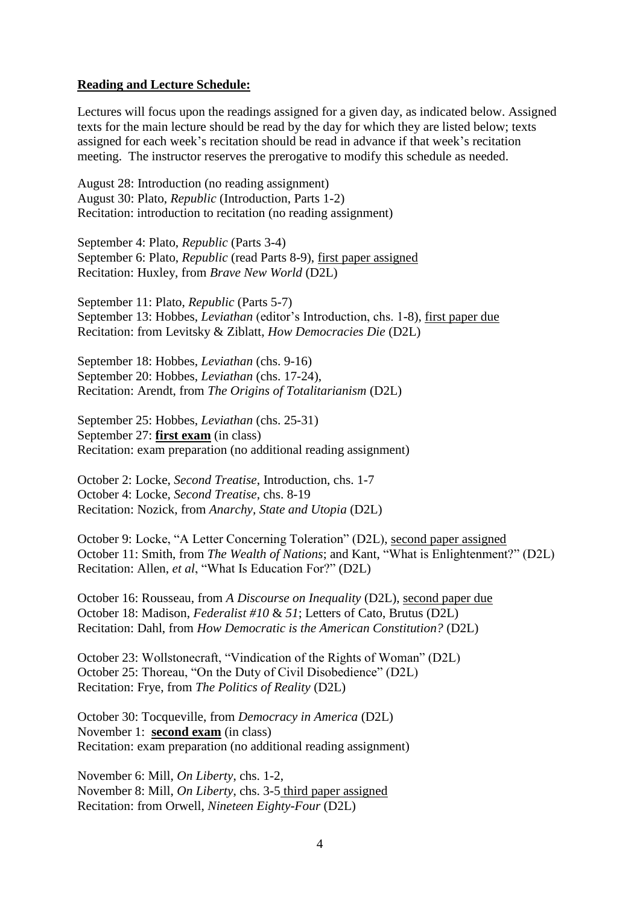#### **Reading and Lecture Schedule:**

Lectures will focus upon the readings assigned for a given day, as indicated below. Assigned texts for the main lecture should be read by the day for which they are listed below; texts assigned for each week's recitation should be read in advance if that week's recitation meeting. The instructor reserves the prerogative to modify this schedule as needed.

August 28: Introduction (no reading assignment) August 30: Plato, *Republic* (Introduction, Parts 1-2) Recitation: introduction to recitation (no reading assignment)

September 4: Plato, *Republic* (Parts 3-4) September 6: Plato, *Republic* (read Parts 8-9), first paper assigned Recitation: Huxley, from *Brave New World* (D2L)

September 11: Plato, *Republic* (Parts 5-7) September 13: Hobbes, *Leviathan* (editor's Introduction, chs. 1-8), first paper due Recitation: from Levitsky & Ziblatt, *How Democracies Die* (D2L)

September 18: Hobbes, *Leviathan* (chs. 9-16) September 20: Hobbes, *Leviathan* (chs. 17-24), Recitation: Arendt, from *The Origins of Totalitarianism* (D2L)

September 25: Hobbes, *Leviathan* (chs. 25-31) September 27: **first exam** (in class) Recitation: exam preparation (no additional reading assignment)

October 2: Locke, *Second Treatise*, Introduction, chs. 1-7 October 4: Locke, *Second Treatise*, chs. 8-19 Recitation: Nozick, from *Anarchy, State and Utopia* (D2L)

October 9: Locke, "A Letter Concerning Toleration" (D2L), second paper assigned October 11: Smith, from *The Wealth of Nations*; and Kant, "What is Enlightenment?" (D2L) Recitation: Allen, *et al*, "What Is Education For?" (D2L)

October 16: Rousseau, from *A Discourse on Inequality* (D2L), second paper due October 18: Madison, *Federalist #10* & *51*; Letters of Cato, Brutus (D2L) Recitation: Dahl, from *How Democratic is the American Constitution?* (D2L)

October 23: Wollstonecraft, "Vindication of the Rights of Woman" (D2L) October 25: Thoreau, "On the Duty of Civil Disobedience" (D2L) Recitation: Frye, from *The Politics of Reality* (D2L)

October 30: Tocqueville, from *Democracy in America* (D2L) November 1: **second exam** (in class) Recitation: exam preparation (no additional reading assignment)

November 6: Mill, *On Liberty*, chs. 1-2, November 8: Mill, *On Liberty*, chs. 3-5 third paper assigned Recitation: from Orwell, *Nineteen Eighty-Four* (D2L)